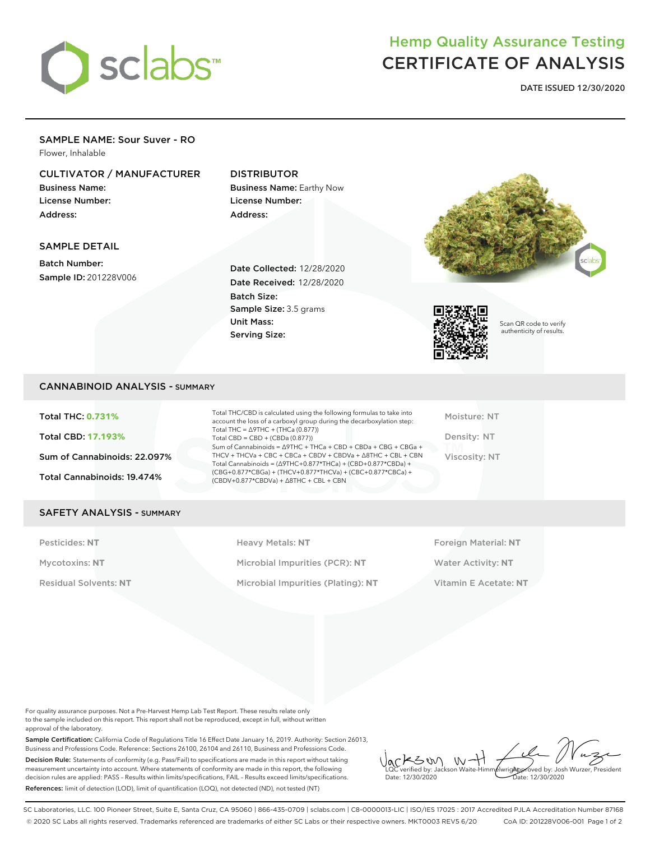

# Hemp Quality Assurance Testing CERTIFICATE OF ANALYSIS

**DATE ISSUED 12/30/2020**

#### SAMPLE NAME: Sour Suver - RO Flower, Inhalable

# CULTIVATOR / MANUFACTURER

Business Name: License Number: Address:

# DISTRIBUTOR

Business Name: Earthy Now License Number: Address:

## SAMPLE DETAIL

Batch Number: Sample ID: 201228V006

Date Collected: 12/28/2020 Date Received: 12/28/2020 Batch Size: Sample Size: 3.5 grams Unit Mass: Serving Size:





Scan QR code to verify authenticity of results.

# CANNABINOID ANALYSIS - SUMMARY

Total THC: **0.731%** Total CBD: **17.193%** Sum of Cannabinoids: 22.097% Total Cannabinoids: 19.474%

Total THC/CBD is calculated using the following formulas to take into account the loss of a carboxyl group during the decarboxylation step: Total THC = ∆9THC + (THCa (0.877)) Total  $CBD = CBD + (CBDa (0.877))$ Sum of Cannabinoids = ∆9THC + THCa + CBD + CBDa + CBG + CBGa + THCV + THCVa + CBC + CBCa + CBDV + CBDVa + ∆8THC + CBL + CBN Total Cannabinoids = (∆9THC+0.877\*THCa) + (CBD+0.877\*CBDa) + (CBG+0.877\*CBGa) + (THCV+0.877\*THCVa) + (CBC+0.877\*CBCa) + (CBDV+0.877\*CBDVa) + ∆8THC + CBL + CBN

Moisture: NT Density: NT Viscosity: NT

#### SAFETY ANALYSIS - SUMMARY

Pesticides: **NT** Heavy Metals: **NT** Foreign Material: **NT** Mycotoxins: **NT** Microbial Impurities (PCR): **NT** Water Activity: **NT** Residual Solvents: **NT** Microbial Impurities (Plating): **NT** Vitamin E Acetate: **NT**

For quality assurance purposes. Not a Pre-Harvest Hemp Lab Test Report. These results relate only to the sample included on this report. This report shall not be reproduced, except in full, without written approval of the laboratory.

Sample Certification: California Code of Regulations Title 16 Effect Date January 16, 2019. Authority: Section 26013, Business and Professions Code. Reference: Sections 26100, 26104 and 26110, Business and Professions Code. Decision Rule: Statements of conformity (e.g. Pass/Fail) to specifications are made in this report without taking measurement uncertainty into account. Where statements of conformity are made in this report, the following decision rules are applied: PASS – Results within limits/specifications, FAIL – Results exceed limits/specifications. References: limit of detection (LOD), limit of quantification (LOQ), not detected (ND), not tested (NT)

 $W +$ KSW Approved by: Josh Wurzer, President LQC verified by: Jackson Waite-Himmelwright Date: 12/30/2020 Date: 12/30/2020

SC Laboratories, LLC. 100 Pioneer Street, Suite E, Santa Cruz, CA 95060 | 866-435-0709 | sclabs.com | C8-0000013-LIC | ISO/IES 17025 : 2017 Accredited PJLA Accreditation Number 87168 © 2020 SC Labs all rights reserved. Trademarks referenced are trademarks of either SC Labs or their respective owners. MKT0003 REV5 6/20 CoA ID: 201228V006-001 Page 1 of 2